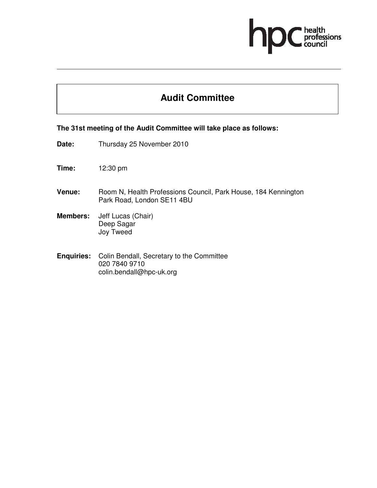# professions

## **Audit Committee**

#### **The 31st meeting of the Audit Committee will take place as follows:**

- **Date:** Thursday 25 November 2010
- **Time:** 12:30 pm
- Venue: Room N, Health Professions Council, Park House, 184 Kennington Park Road, London SE11 4BU
- **Members:** Jeff Lucas (Chair) Deep Sagar Joy Tweed
- **Enquiries:** Colin Bendall, Secretary to the Committee 020 7840 9710 colin.bendall@hpc-uk.org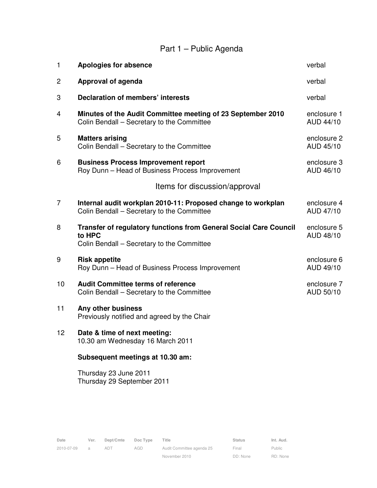# Part 1 – Public Agenda

| $\mathbf{1}$   | <b>Apologies for absence</b>                                                                                                     | verbal                   |  |  |  |  |  |  |  |
|----------------|----------------------------------------------------------------------------------------------------------------------------------|--------------------------|--|--|--|--|--|--|--|
| 2              | Approval of agenda                                                                                                               | verbal                   |  |  |  |  |  |  |  |
| 3              | <b>Declaration of members' interests</b>                                                                                         | verbal                   |  |  |  |  |  |  |  |
| 4              | Minutes of the Audit Committee meeting of 23 September 2010<br>Colin Bendall - Secretary to the Committee                        | enclosure 1<br>AUD 44/10 |  |  |  |  |  |  |  |
| 5              | <b>Matters arising</b><br>Colin Bendall - Secretary to the Committee                                                             | enclosure 2<br>AUD 45/10 |  |  |  |  |  |  |  |
| 6              | <b>Business Process Improvement report</b><br>Roy Dunn - Head of Business Process Improvement                                    | enclosure 3<br>AUD 46/10 |  |  |  |  |  |  |  |
|                | Items for discussion/approval                                                                                                    |                          |  |  |  |  |  |  |  |
| $\overline{7}$ | Internal audit workplan 2010-11: Proposed change to workplan<br>Colin Bendall - Secretary to the Committee                       | enclosure 4<br>AUD 47/10 |  |  |  |  |  |  |  |
| 8              | <b>Transfer of regulatory functions from General Social Care Council</b><br>to HPC<br>Colin Bendall – Secretary to the Committee | enclosure 5<br>AUD 48/10 |  |  |  |  |  |  |  |
| 9              | <b>Risk appetite</b><br>Roy Dunn - Head of Business Process Improvement                                                          | enclosure 6<br>AUD 49/10 |  |  |  |  |  |  |  |
| 10             | <b>Audit Committee terms of reference</b><br>Colin Bendall - Secretary to the Committee                                          | enclosure 7<br>AUD 50/10 |  |  |  |  |  |  |  |
| 11             | Any other business<br>Previously notified and agreed by the Chair                                                                |                          |  |  |  |  |  |  |  |
| 12             | Date & time of next meeting:<br>10.30 am Wednesday 16 March 2011                                                                 |                          |  |  |  |  |  |  |  |
|                | Subsequent meetings at 10.30 am:                                                                                                 |                          |  |  |  |  |  |  |  |
|                | Thursday 23 June 2011<br>Thursday 29 September 2011                                                                              |                          |  |  |  |  |  |  |  |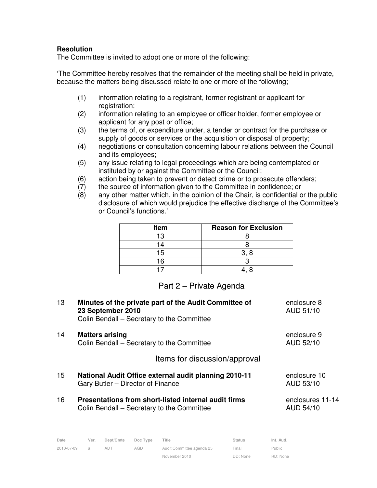#### **Resolution**

The Committee is invited to adopt one or more of the following:

'The Committee hereby resolves that the remainder of the meeting shall be held in private, because the matters being discussed relate to one or more of the following;

- (1) information relating to a registrant, former registrant or applicant for registration;
- (2) information relating to an employee or officer holder, former employee or applicant for any post or office;
- (3) the terms of, or expenditure under, a tender or contract for the purchase or supply of goods or services or the acquisition or disposal of property;
- (4) negotiations or consultation concerning labour relations between the Council and its employees;
- (5) any issue relating to legal proceedings which are being contemplated or instituted by or against the Committee or the Council;
- (6) action being taken to prevent or detect crime or to prosecute offenders;
- (7) the source of information given to the Committee in confidence; or
- (8) any other matter which, in the opinion of the Chair, is confidential or the public disclosure of which would prejudice the effective discharge of the Committee's or Council's functions.'

| Item | <b>Reason for Exclusion</b> |  |  |
|------|-----------------------------|--|--|
| 13   |                             |  |  |
| 14   |                             |  |  |
| 15   |                             |  |  |
| ۱ĥ   |                             |  |  |
|      |                             |  |  |

### Part 2 – Private Agenda

| 13 | Minutes of the private part of the Audit Committee of<br>23 September 2010<br>Colin Bendall - Secretary to the Committee | enclosure 8<br>AUD 51/10      |
|----|--------------------------------------------------------------------------------------------------------------------------|-------------------------------|
| 14 | <b>Matters arising</b><br>Colin Bendall – Secretary to the Committee                                                     | enclosure 9<br>AUD 52/10      |
|    | Items for discussion/approval                                                                                            |                               |
| 15 | National Audit Office external audit planning 2010-11<br>Gary Butler – Director of Finance                               | enclosure 10<br>AUD 53/10     |
| 16 | Presentations from short-listed internal audit firms<br>Colin Bendall – Secretary to the Committee                       | enclosures 11-14<br>AUD 54/10 |

| Date       | Ver.          | Dept/Cmte | Doc Type | Title                     | <b>Status</b> | Int. Aud. |
|------------|---------------|-----------|----------|---------------------------|---------------|-----------|
| 2010-07-09 | $\mathcal{A}$ |           | AGD      | Audit Committee agenda 25 | Final         | Public    |
|            |               |           |          | November 2010             | DD: None      | RD: None  |